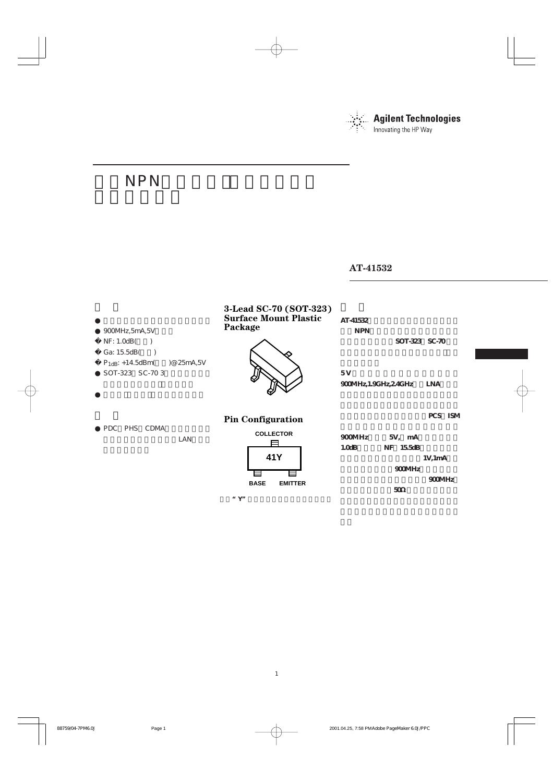

# NPN

### **AT-41532**

| 900MHz, 5mA, 5V                                                     | 3-Lead SC-70 (SOT-323)<br><b>Surface Mount Plastic</b><br>Package | AT-41532<br><b>NPN</b>                                                        |
|---------------------------------------------------------------------|-------------------------------------------------------------------|-------------------------------------------------------------------------------|
| NF: 1.0dB(<br>$\rightarrow$                                         |                                                                   | SOT-323 SC-70                                                                 |
| Ga: 15.5dB(<br>)@ 25mA,5V<br>$P_{1dB}: +14.5dBm($<br>SOT-323 SC-703 |                                                                   | 5V<br><b>LNA</b><br>900MHz, 1.9GHz, 24GHz                                     |
|                                                                     | <b>Pin Configuration</b>                                          | PCS ISM                                                                       |
| PHS CDMA<br>PDC<br>LAN                                              | <b>COLLECTOR</b><br>41Y<br><b>BASE</b><br><b>EMITTER</b>          | 900MHz<br>5V, mA<br>1.0dB<br>155dB<br>NF<br>1V, 1mA<br>900MHz<br>900MHz<br>50 |

**" Y**"

1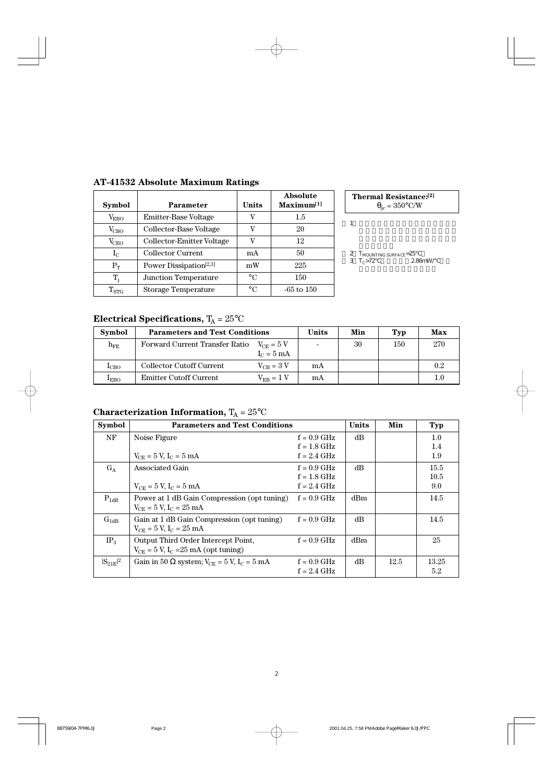| <b>Symbol</b>      | Parameter                          | Units       | <b>Absolute</b><br>$Maximum^{[1]}$ |
|--------------------|------------------------------------|-------------|------------------------------------|
| $\rm V_{EBO}$      | Emitter-Base Voltage               | v           | 1.5                                |
| $V_{CBO}$          | Collector-Base Voltage             | V           | 20                                 |
| $\rm V_{CEO}$      | Collector-Emitter Voltage          |             | 12                                 |
| $\rm I_C$          | <b>Collector Current</b>           | mA          | 50                                 |
| $P_T$              | Power Dissipation <sup>[2,3]</sup> | mW          | 225                                |
| $T_i$              | <b>Junction Temperature</b>        | $^{\circ}C$ | 150                                |
| $\mathrm{T_{STG}}$ | <b>Storage Temperature</b>         | $\circ$ C   | $-65$ to $150$                     |

**AT-41532 Absolute Maximum Ratings**

**Thermal Resistance:[2]**  $\theta_{\text{jc}} = 350^{\circ}$ C/W

 $1$ 

 $2\,$   $\,$   $T_{\rm MOUNTING\; SURFACE}$ = $25\,$ 

3 $T_c > 72$  2.86mW/

## **Electrical Specifications,**  $T_A = 25^{\circ}C$

| <b>Symbol</b>  | <b>Parameters and Test Conditions</b> |                | Units | Min | Typ | Max |
|----------------|---------------------------------------|----------------|-------|-----|-----|-----|
| ${\rm h_{FE}}$ | Forward Current Transfer Ratio        |                | 30    | 150 | 270 |     |
|                |                                       | $I_C = 5$ mA   |       |     |     |     |
| $_{\rm LCO}$   | <b>Collector Cutoff Current</b>       | $V_{CB} = 3 V$ | mA    |     |     | 0.2 |
| $_{\rm EBO}$   | <b>Emitter Cutoff Current</b>         | $V_{EB} = 1 V$ | mA    |     |     | 1.0 |

### **Characterization Information,**  $T_A = 25^{\circ}C$

| <b>Symbol</b>   | <b>Parameters and Test Conditions</b>                                    |               | <b>Units</b> | Min  | <b>Typ</b> |
|-----------------|--------------------------------------------------------------------------|---------------|--------------|------|------------|
| NF              | Noise Figure                                                             | $f = 0.9$ GHz | dВ           |      | 1.0        |
|                 |                                                                          | $f = 1.8$ GHz |              |      | 1.4        |
|                 | $V_{CE} = 5 V, I_C = 5 mA$                                               | $f = 2.4$ GHz |              |      | 1.9        |
| $G_A$           | Associated Gain                                                          | $f = 0.9$ GHz | dB           |      | 15.5       |
|                 |                                                                          | $f = 1.8$ GHz |              |      | 10.5       |
|                 | $V_{CE} = 5 V, I_C = 5 mA$                                               | $f = 2.4$ GHz |              |      | 9.0        |
| $P_{1dB}$       | Power at 1 dB Gain Compression (opt tuning)                              | $f = 0.9$ GHz | dBm          |      | 14.5       |
|                 | $V_{CE} = 5 V$ , $I_C = 25 mA$                                           |               |              |      |            |
| $G_{1dB}$       | Gain at 1 dB Gain Compression (opt tuning)                               | $f = 0.9$ GHz | dB           |      | 14.5       |
|                 | $V_{CE} = 5 V$ , $I_C = 25 mA$                                           |               |              |      |            |
| IP <sub>3</sub> | Output Third Order Intercept Point,                                      | $f = 0.9$ GHz | dBm          |      | 25         |
|                 | $V_{CE} = 5 V$ , I <sub>C</sub> = 25 mA (opt tuning)                     |               |              |      |            |
| $ S_{21E} ^2$   | Gain in 50 $\Omega$ system; $V_{\text{CE}} = 5$ V, $I_{\text{C}} = 5$ mA | $f = 0.9$ GHz | dB           | 12.5 | 13.25      |
|                 |                                                                          | $f = 2.4$ GHz |              |      | 5.2        |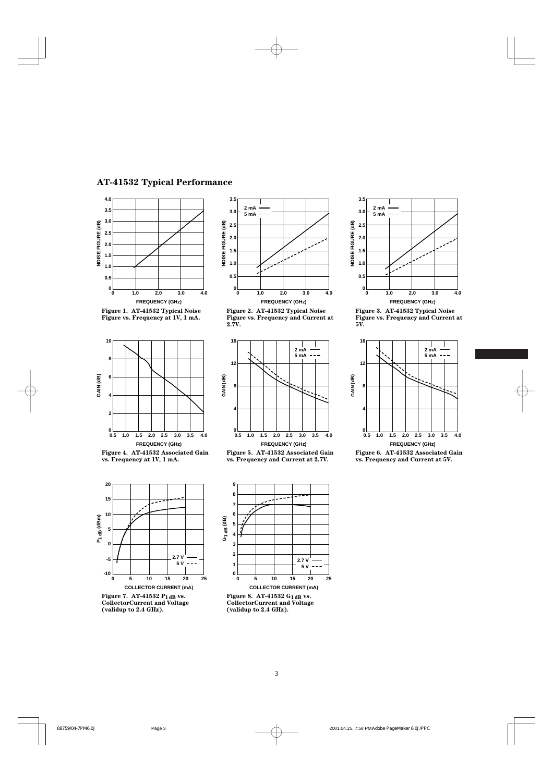#### **AT-41532 Typical Performance**





**2 mA 5 mA**

**3.5**

**2.0**

**2.5 3.0**





**Figure 4. AT-41532 Associated Gain vs. Frequency at 1V, 1 mA.**



**Figure 7. AT-41532 P1dB vs. CollectorCurrent and Voltage (validup to 2.4 GHz).**





**Figure 5. AT-41532 Associated Gain vs. Frequency and Current at 2.7V.**



**Figure 8. AT-41532 G1dB vs. CollectorCurrent and Voltage (validup to 2.4 GHz).**



**Figure 3. AT-41532 Typical Noise Figure vs. Frequency and Current at 5V.**



**Figure 6. AT-41532 Associated Gain vs. Frequency and Current at 5V.**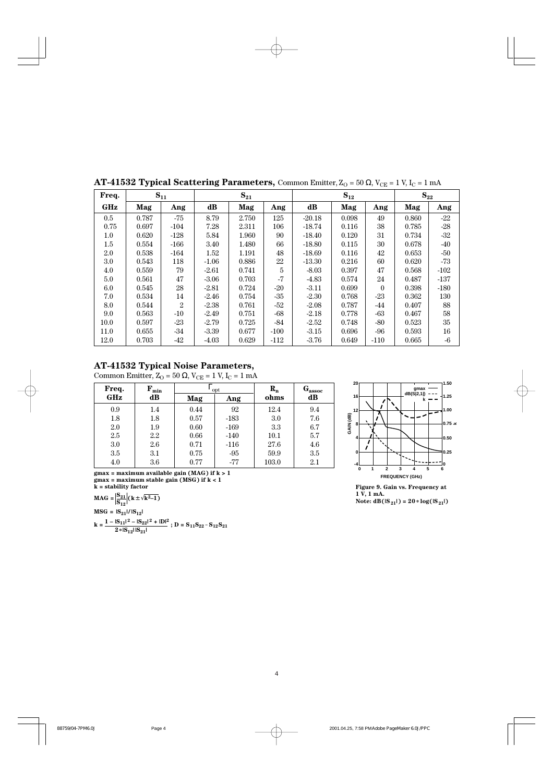|         | v r   | o<br>יי<br>்புப |          |          |        |          |       |          |          |        |
|---------|-------|-----------------|----------|----------|--------|----------|-------|----------|----------|--------|
| Freq.   |       | $S_{11}$        |          | $S_{21}$ |        | $S_{12}$ |       |          | $S_{22}$ |        |
| GHz     | Mag   | Ang             | $\bf dB$ | Mag      | Ang    | $\bf dB$ | Mag   | Ang      | Mag      | Ang    |
| 0.5     | 0.787 | $-75$           | 8.79     | 2.750    | 125    | $-20.18$ | 0.098 | 49       | 0.860    | $-22$  |
| 0.75    | 0.697 | $-104$          | 7.28     | 2.311    | 106    | $-18.74$ | 0.116 | 38       | 0.785    | $-28$  |
| $1.0\,$ | 0.620 | $-128$          | 5.84     | 1.960    | 90     | $-18.40$ | 0.120 | 31       | 0.734    | $-32$  |
| 1.5     | 0.554 | $-166$          | 3.40     | 1.480    | 66     | $-18.80$ | 0.115 | 30       | 0.678    | $-40$  |
| 2.0     | 0.538 | $-164$          | 1.52     | 1.191    | 48     | $-18.69$ | 0.116 | 42       | 0.653    | $-50$  |
| $3.0\,$ | 0.543 | 118             | $-1.06$  | 0.886    | $22\,$ | $-13.30$ | 0.216 | 60       | 0.620    | $-73$  |
| 4.0     | 0.559 | 79              | $-2.61$  | 0.741    | 5      | $-8.03$  | 0.397 | 47       | 0.568    | $-102$ |
| 5.0     | 0.561 | 47              | $-3.06$  | 0.703    | $-7$   | $-4.83$  | 0.574 | 24       | 0.487    | $-137$ |
| 6.0     | 0.545 | 28              | $-2.81$  | 0.724    | $-20$  | $-3.11$  | 0.699 | $\Omega$ | 0.398    | $-180$ |
| 7.0     | 0.534 | 14              | $-2.46$  | 0.754    | $-35$  | $-2.30$  | 0.768 | $-23$    | 0.362    | 130    |
| 8.0     | 0.544 | $\sqrt{2}$      | $-2.38$  | 0.761    | $-52$  | $-2.08$  | 0.787 | -44      | 0.407    | 88     |
| 9.0     | 0.563 | $-10$           | $-2.49$  | 0.751    | -68    | $-2.18$  | 0.778 | $-63$    | 0.467    | 58     |
| 10.0    | 0.597 | $-23$           | $-2.79$  | 0.725    | $-84$  | $-2.52$  | 0.748 | $-80$    | 0.523    | 35     |
| 11.0    | 0.655 | -34             | $-3.39$  | 0.677    | $-100$ | $-3.15$  | 0.696 | -96      | 0.593    | 16     |
| 12.0    | 0.703 | -42             | $-4.03$  | 0.629    | $-112$ | $-3.76$  | 0.649 | $-110$   | 0.665    | $-6$   |

**AT-41532 Typical Scattering Parameters, Common Emitter,**  $Z_{\text{O}} = 50 \Omega$ **,**  $V_{\text{CE}} = 1 \text{ V}$ **,**  $I_{\text{C}} = 1 \text{ mA}$ 

Common Emitter,  $Z_{\text{O}} = 50 \Omega$ ,  $V_{\text{CE}} = 1 \text{ V}$ ,  $I_{\text{C}} = 1 \text{ mA}$ 

| Freq.   | ${\bf F_{min}}$ |            | opt    | $R_{n}$ | $\mathbf{G_{assoc}}$ |  |
|---------|-----------------|------------|--------|---------|----------------------|--|
| GHz     | dB              | Mag<br>Ang |        | ohms    | dB                   |  |
| 0.9     | 1.4             | 0.44       | 92     | 12.4    | 9.4                  |  |
| 1.8     | 1.8             | 0.57       | $-183$ | 3.0     | 7.6                  |  |
| 2.0     | 1.9             | 0.60       | $-169$ | 3.3     | 6.7                  |  |
| 2.5     | 2.2             | 0.66       | $-140$ | 10.1    | 5.7                  |  |
| $3.0\,$ | 2.6             | 0.71       | $-116$ | 27.6    | 4.6                  |  |
| $3.5\,$ | 3.1             | 0.75       | $-95$  | 59.9    | 3.5                  |  |
| 4.0     | 3.6             | 0.77       | $-77$  | 103.0   | 2.1                  |  |

**gmax = maximum available gain (MAG) if k > 1 gmax = maximum stable gain (MSG) if k < 1 k = stability factor**

**MAG** =  $\left| \frac{S_{21}}{S_{12}} \right|$  (**k**±  $\sqrt{k^2-1}$ )  $\text{MSG} = |\text{S}_{21}| / |\text{S}_{12}|$ **k** =  $\frac{1 - |S_{11}|^2 - |S_{22}|^2 + |D|^2}{2 * |S_{12}| |S_{21}|}$ ; D =  $S_{11}S_{22} - S_{12}S_{21}$ 



**Figure 9. Gain vs. Frequency at 1 V, 1 mA.**  $Note: dB(S_{21}|) = 20 * log(|S_{21}|)$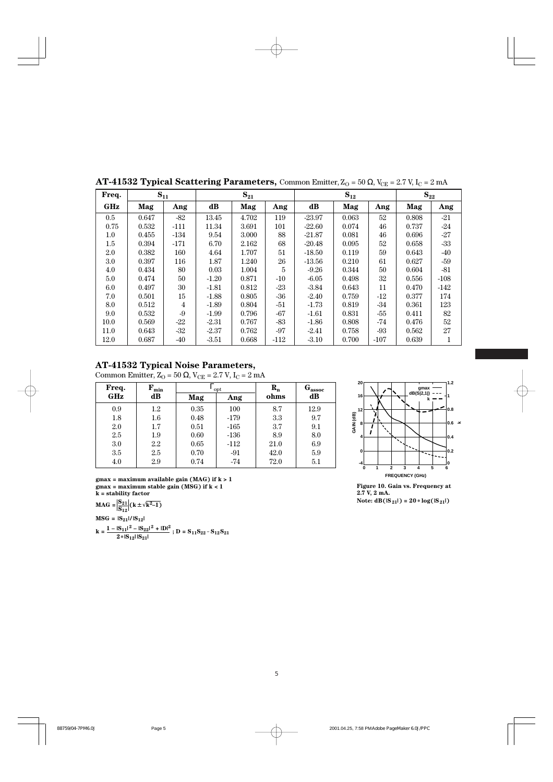|         | v r   | ິ<br>◡<br>∪∟ |         |          |                |          |                   | $\sqrt{2}$ |       |          |  |
|---------|-------|--------------|---------|----------|----------------|----------|-------------------|------------|-------|----------|--|
| Freq.   |       | $S_{11}$     |         | $S_{21}$ |                |          | $\mathbf{S}_{12}$ |            |       | $S_{22}$ |  |
| GHz     | Mag   | Ang          | dB      | Mag      | Ang            | dB       | Mag               | Ang        | Mag   | Ang      |  |
| 0.5     | 0.647 | $-82$        | 13.45   | 4.702    | 119            | $-23.97$ | 0.063             | 52         | 0.808 | $-21$    |  |
| 0.75    | 0.532 | $-111$       | 11.34   | 3.691    | 101            | $-22.60$ | 0.074             | 46         | 0.737 | $-24$    |  |
| $1.0\,$ | 0.455 | $-134$       | 9.54    | 3.000    | 88             | $-21.87$ | 0.081             | 46         | 0.696 | $-27$    |  |
| 1.5     | 0.394 | $-171$       | 6.70    | 2.162    | 68             | $-20.48$ | 0.095             | 52         | 0.658 | $-33$    |  |
| 2.0     | 0.382 | 160          | 4.64    | 1.707    | 51             | $-18.50$ | 0.119             | 59         | 0.643 | $-40$    |  |
| $3.0\,$ | 0.397 | 116          | 1.87    | 1.240    | 26             | $-13.56$ | 0.210             | 61         | 0.627 | $-59$    |  |
| 4.0     | 0.434 | 80           | 0.03    | 1.004    | $\overline{5}$ | $-9.26$  | 0.344             | 50         | 0.604 | $-81$    |  |
| 5.0     | 0.474 | 50           | $-1.20$ | 0.871    | $-10$          | $-6.05$  | 0.498             | 32         | 0.556 | $-108$   |  |
| 6.0     | 0.497 | 30           | $-1.81$ | 0.812    | $-23$          | $-3.84$  | 0.643             | 11         | 0.470 | $-142$   |  |
| 7.0     | 0.501 | 15           | $-1.88$ | 0.805    | $-36$          | $-2.40$  | 0.759             | -12        | 0.377 | 174      |  |
| 8.0     | 0.512 | 4            | $-1.89$ | 0.804    | $-51$          | $-1.73$  | 0.819             | -34        | 0.361 | 123      |  |
| 9.0     | 0.532 | -9           | $-1.99$ | 0.796    | $-67$          | $-1.61$  | 0.831             | $-55$      | 0.411 | 82       |  |
| 10.0    | 0.569 | $-22$        | $-2.31$ | 0.767    | -83            | $-1.86$  | 0.808             | -74        | 0.476 | $52\,$   |  |
| 11.0    | 0.643 | $-32$        | $-2.37$ | 0.762    | $-97$          | $-2.41$  | 0.758             | -93        | 0.562 | 27       |  |
| 12.0    | 0.687 | -40          | $-3.51$ | 0.668    | $-112$         | $-3.10$  | 0.700             | $-107$     | 0.639 |          |  |

**AT-41532 Typical Scattering Parameters, Common Emitter,**  $Z_{\text{O}} = 50 \Omega$ **,**  $V_{\text{CE}} = 2.7 \text{ V}$ **,**  $I_{\text{C}} = 2 \text{ mA}$ 

Common Emitter,  $Z_{\rm O}$  = 50  $\Omega$ , V<sub>CE</sub> = 2.7 V, I<sub>C</sub> = 2 mA

| Freq.   | $\mathbf{F}_{\text{min}}$ |      | $\texttt{I}$ opt | $\mathbf{R}_{\mathbf{n}}$ | $\mathbf{G}_{\mathrm{assoc}}$ | 20 <sub>1</sub><br>gmax |
|---------|---------------------------|------|------------------|---------------------------|-------------------------------|-------------------------|
| GHz     | dB                        | Mag  | Ang              | ohms                      | dB                            | dB(S 2,1)<br>16<br>k    |
| 0.9     | $1.2\,$                   | 0.35 | 100              | 8.7                       | 12.9                          | 12                      |
| 1.8     | $1.6\,$                   | 0.48 | $-179$           | 3.3                       | 9.7                           | GAIN (dB)               |
| 2.0     | 1.7                       | 0.51 | $-165$           | 3.7                       | 9.1                           | 8                       |
| $2.5\,$ | 1.9                       | 0.60 | $-136$           | 8.9                       | 8.0                           |                         |
| 3.0     | 2.2                       | 0.65 | $-112$           | 21.0                      | 6.9                           |                         |
| $3.5\,$ | 2.5                       | 0.70 | -91              | 42.0                      | 5.9                           | 0<br>in Co              |
| 4.0     | 2.9                       | 0.74 | $-74$            | 72.0                      | 5.1                           |                         |

**gmax = maximum available gain (MAG) if k > 1 gmax = maximum stable gain (MSG) if k < 1 k = stability factor**

$$
\mathbf{MAG} = \left| \frac{\mathbf{S}_{21}}{\mathbf{S}_{12}} \right| (\mathbf{k} \pm \sqrt{\mathbf{k}^2 - 1})
$$

 $\text{MSG} = |\text{S}_{21}|/|\text{S}_{12}|$ 

**k** =  $\frac{1 - |S_{11}|^2 - |S_{22}|^2 + |D|^2}{2 * |S_{12}| |S_{21}|}$ ; D =  $S_{11}S_{22} - S_{12}S_{21}$ 



**Figure 10. Gain vs. Frequency at 2.7 V, 2 mA.**  $Note: dB(|S_{21}|) = 20 * log(|S_{21}|)$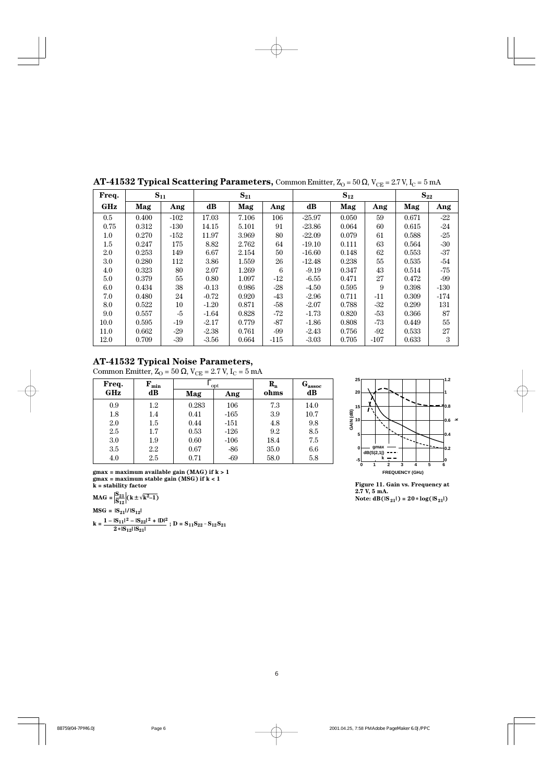|         | ັັ       |        | ັ       |          |        |          | $\cup$   | ∪∟     | ╯     |          |  |
|---------|----------|--------|---------|----------|--------|----------|----------|--------|-------|----------|--|
| Freq.   | $S_{11}$ |        |         | $S_{21}$ |        |          | $S_{12}$ |        |       | $S_{22}$ |  |
| GHz     | Mag      | Ang    | dB      | Mag      | Ang    | dB       | Mag      | Ang    | Mag   | Ang      |  |
| 0.5     | 0.400    | $-102$ | 17.03   | 7.106    | 106    | $-25.97$ | 0.050    | 59     | 0.671 | $-22$    |  |
| 0.75    | 0.312    | $-130$ | 14.15   | 5.101    | 91     | $-23.86$ | 0.064    | 60     | 0.615 | $-24$    |  |
| $1.0\,$ | 0.270    | $-152$ | 11.97   | 3.969    | 80     | $-22.09$ | 0.079    | 61     | 0.588 | $-25$    |  |
| $1.5\,$ | 0.247    | 175    | 8.82    | 2.762    | 64     | $-19.10$ | 0.111    | 63     | 0.564 | $-30$    |  |
| 2.0     | 0.253    | 149    | 6.67    | 2.154    | 50     | $-16.60$ | 0.148    | 62     | 0.553 | $-37$    |  |
| 3.0     | 0.280    | 112    | 3.86    | 1.559    | 26     | $-12.48$ | 0.238    | 55     | 0.535 | $-54$    |  |
| 4.0     | 0.323    | 80     | 2.07    | 1.269    | 6      | $-9.19$  | 0.347    | 43     | 0.514 | -75      |  |
| $5.0\,$ | 0.379    | 55     | 0.80    | 1.097    | $-12$  | $-6.55$  | 0.471    | 27     | 0.472 | $-99$    |  |
| 6.0     | 0.434    | 38     | $-0.13$ | 0.986    | $-28$  | $-4.50$  | 0.595    | 9      | 0.398 | $-130$   |  |
| 7.0     | 0.480    | 24     | $-0.72$ | 0.920    | -43    | $-2.96$  | 0.711    | $-11$  | 0.309 | $-174$   |  |
| 8.0     | 0.522    | $10\,$ | $-1.20$ | 0.871    | $-58$  | $-2.07$  | 0.788    | $-32$  | 0.299 | 131      |  |
| 9.0     | 0.557    | $-5$   | $-1.64$ | 0.828    | -72    | $-1.73$  | 0.820    | $-53$  | 0.366 | 87       |  |
| 10.0    | 0.595    | -19    | $-2.17$ | 0.779    | $-87$  | $-1.86$  | 0.808    | $-73$  | 0.449 | 55       |  |
| 11.0    | 0.662    | $-29$  | $-2.38$ | 0.761    | -99    | $-2.43$  | 0.756    | -92    | 0.533 | 27       |  |
| 12.0    | 0.709    | $-39$  | $-3.56$ | 0.664    | $-115$ | $-3.03$  | 0.705    | $-107$ | 0.633 | 3        |  |

**AT-41532 Typical Scattering Parameters, Common Emitter,**  $Z_0 = 50 \Omega$ **,**  $V_{CF} = 2.7 V$ **,**  $I_C = 5 mA$ 

Common Emitter,  $Z_{\rm O}$  = 50  $\Omega$ , V<sub>CE</sub> = 2.7 V, I<sub>C</sub> = 5 mA

| Freq. | ${\bf F}_{\rm min}$ |       | opt    | $R_{n}$ | $\mathbf{G_{assoc}}$ |
|-------|---------------------|-------|--------|---------|----------------------|
| GHz   | dB                  | Mag   | Ang    | ohms    | dB                   |
| 0.9   | 1.2                 | 0.283 | 106    | 7.3     | 14.0                 |
| 1.8   | 1.4                 | 0.41  | $-165$ | 3.9     | 10.7                 |
| 2.0   | 1.5                 | 0.44  | $-151$ | 4.8     | 9.8                  |
| 2.5   | 1.7                 | 0.53  | $-126$ | 9.2     | 8.5                  |
| 3.0   | 1.9                 | 0.60  | $-106$ | 18.4    | 7.5                  |
| 3.5   | 2.2                 | 0.67  | $-86$  | 35.0    | 6.6                  |
| 4.0   | 2.5                 | 0.71  | $-69$  | 58.0    | 5.8                  |

**gmax = maximum available gain (MAG) if k > 1 FREQUENCY (GHz) gmax = maximum stable gain (MSG) if k < 1 k = stability factor**

$$
MAG = \left| \frac{S_{21}}{S_{12}} \right| \left( k \pm \sqrt{k^2 - 1} \right)
$$

$$
MSG = |S_{21}|/|S_{12}|
$$

 $k = |S_{11}|^2 - |S_{22}|^2 + |D|^2$ 

$$
k = \frac{1 - |S_{11}|^2 - |S_{22}|^2 + |D|^2}{2*|S_{12}| |S_{21}|}; D = S_{11}S_{22} - S_{12}S_{21}
$$



**Figure 11. Gain vs. Frequency at 2.7 V, 5 mA.**  $Note: dB(|S_{21}|) = 20 * log(|S_{21}|)$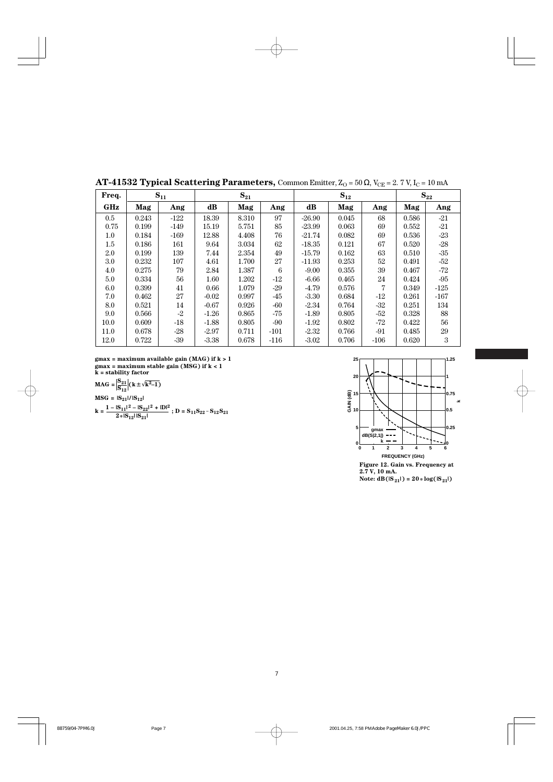|         | v r   |          | ິ       |          |        | $\cup$<br>- 60<br>$\sim$ |          |        |          |        |  |
|---------|-------|----------|---------|----------|--------|--------------------------|----------|--------|----------|--------|--|
| Freq.   |       | $S_{11}$ |         | $S_{21}$ |        |                          | $S_{12}$ |        | $S_{22}$ |        |  |
| GHz     | Mag   | Ang      | dB      | Mag      | Ang    | $\bf dB$                 | Mag      | Ang    | Mag      | Ang    |  |
| $0.5\,$ | 0.243 | $-122$   | 18.39   | 8.310    | 97     | $-26.90$                 | 0.045    | 68     | 0.586    | $-21$  |  |
| 0.75    | 0.199 | $-149$   | 15.19   | 5.751    | 85     | $-23.99$                 | 0.063    | 69     | 0.552    | $-21$  |  |
| $1.0\,$ | 0.184 | $-169$   | 12.88   | 4.408    | 76     | $-21.74$                 | 0.082    | 69     | 0.536    | $-23$  |  |
| 1.5     | 0.186 | 161      | 9.64    | 3.034    | 62     | $-18.35$                 | 0.121    | 67     | 0.520    | $-28$  |  |
| 2.0     | 0.199 | 139      | 7.44    | 2.354    | 49     | $-15.79$                 | 0.162    | 63     | 0.510    | $-35$  |  |
| 3.0     | 0.232 | 107      | 4.61    | 1.700    | 27     | $-11.93$                 | 0.253    | 52     | 0.491    | -52    |  |
| 4.0     | 0.275 | 79       | 2.84    | 1.387    | 6      | $-9.00$                  | 0.355    | 39     | 0.467    | -72    |  |
| $5.0\,$ | 0.334 | 56       | 1.60    | 1.202    | $-12$  | $-6.66$                  | 0.465    | 24     | 0.424    | $-95$  |  |
| 6.0     | 0.399 | 41       | 0.66    | 1.079    | $-29$  | $-4.79$                  | 0.576    | 7      | 0.349    | $-125$ |  |
| 7.0     | 0.462 | 27       | $-0.02$ | 0.997    | -45    | $-3.30$                  | 0.684    | $-12$  | 0.261    | $-167$ |  |
| 8.0     | 0.521 | 14       | $-0.67$ | 0.926    | -60    | $-2.34$                  | 0.764    | $-32$  | 0.251    | 134    |  |
| 9.0     | 0.566 | $-2$     | $-1.26$ | 0.865    | -75    | $-1.89$                  | 0.805    | $-52$  | 0.328    | 88     |  |
| 10.0    | 0.609 | $-18$    | $-1.88$ | 0.805    | $-90$  | $-1.92$                  | 0.802    | $-72$  | 0.422    | 56     |  |
| 11.0    | 0.678 | $-28$    | $-2.97$ | 0.711    | $-101$ | $-2.32$                  | 0.766    | $-91$  | 0.485    | 29     |  |
| 12.0    | 0.722 | $-39$    | $-3.38$ | 0.678    | $-116$ | $-3.02$                  | 0.706    | $-106$ | 0.620    | 3      |  |

**AT-41532 Typical Scattering Parameters, Common Emitter,**  $Z_0 = 50 \Omega$ **,**  $V_{CE} = 2.7 V$ **,**  $I_C = 10 mA$ 

**gmax = maximum available gain (MAG) if k > 1 gmax = maximum stable gain (MSG) if k < 1 k = stability factor**

**MAG** =  $\left| \frac{S_{21}}{S_{12}} \right| (k \pm \sqrt{k^2-1})$  $\text{MSG} = |\text{S}_{21}| / |\text{S}_{12}|$ 

$$
\mathbf{k} = \frac{1 - |\mathbf{S}_{11}|^2 - |\mathbf{S}_{22}|^2 + |\mathbf{D}|^2}{2 \cdot |\mathbf{S}_{11}| |\mathbf{S}_{21}|}; \mathbf{D} = \mathbf{S}_{11} \mathbf{S}_{22} - \mathbf{S}_{12} \mathbf{S}_{21}
$$



 $Note: dB(S_{21}|) = 20 * log(|S_{21}|)$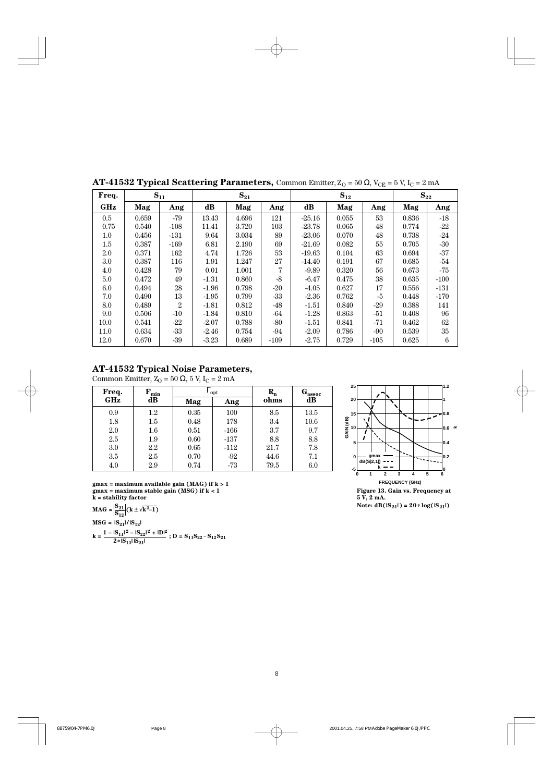|         | v r   |                | v        |          | $\cup$<br>∪∟<br>$\sqrt{2}$ |          |          |        |       |          |  |
|---------|-------|----------------|----------|----------|----------------------------|----------|----------|--------|-------|----------|--|
| Freq.   |       | $S_{11}$       |          | $S_{21}$ |                            |          | $S_{12}$ |        |       | $S_{22}$ |  |
| GHz     | Mag   | Ang            | $\bf dB$ | Mag      | Ang                        | $\bf dB$ | Mag      | Ang    | Mag   | Ang      |  |
| $0.5\,$ | 0.659 | -79            | 13.43    | 4.696    | 121                        | $-25.16$ | 0.055    | 53     | 0.836 | $-18$    |  |
| 0.75    | 0.540 | $-108$         | 11.41    | 3.720    | 103                        | $-23.78$ | 0.065    | 48     | 0.774 | $-22$    |  |
| $1.0\,$ | 0.456 | $-131$         | 9.64     | 3.034    | 89                         | $-23.06$ | 0.070    | 48     | 0.738 | $-24$    |  |
| 1.5     | 0.387 | $-169$         | 6.81     | 2.190    | 69                         | $-21.69$ | 0.082    | 55     | 0.705 | $-30$    |  |
| 2.0     | 0.371 | 162            | 4.74     | 1.726    | 53                         | $-19.63$ | 0.104    | 63     | 0.694 | $-37$    |  |
| $3.0\,$ | 0.387 | 116            | 1.91     | 1.247    | 27                         | $-14.40$ | 0.191    | 67     | 0.685 | -54      |  |
| 4.0     | 0.428 | 79             | 0.01     | 1.001    | 7                          | $-9.89$  | 0.320    | 56     | 0.673 | $-75$    |  |
| $5.0\,$ | 0.472 | 49             | $-1.31$  | 0.860    | $-8$                       | $-6.47$  | 0.475    | 38     | 0.635 | $-100$   |  |
| $6.0\,$ | 0.494 | 28             | $-1.96$  | 0.798    | $-20$                      | $-4.05$  | 0.627    | 17     | 0.556 | $-131$   |  |
| 7.0     | 0.490 | 13             | $-1.95$  | 0.799    | $-33$                      | $-2.36$  | 0.762    | $-5$   | 0.448 | $-170$   |  |
| 8.0     | 0.489 | $\overline{2}$ | $-1.81$  | 0.812    | $-48$                      | $-1.51$  | 0.840    | $-29$  | 0.388 | 141      |  |
| 9.0     | 0.506 | $-10$          | $-1.84$  | 0.810    | -64                        | $-1.28$  | 0.863    | $-51$  | 0.408 | 96       |  |
| 10.0    | 0.541 | -22            | $-2.07$  | 0.788    | -80                        | $-1.51$  | 0.841    | $-71$  | 0.462 | 62       |  |
| 11.0    | 0.634 | $-33$          | $-2.46$  | 0.754    | $-94$                      | $-2.09$  | 0.786    | $-90$  | 0.539 | 35       |  |
| 12.0    | 0.670 | $-39$          | $-3.23$  | 0.689    | $-109$                     | $-2.75$  | 0.729    | $-105$ | 0.625 | 6        |  |
|         |       |                |          |          |                            |          |          |        |       |          |  |

**AT-41532 Typical Scattering Parameters, Common Emitter,**  $Z_0 = 50 \Omega$ **,**  $V_{CE} = 5 V$ **,**  $I_C = 2 mA$ 

Common Emitter,  $Z_O = 50 \Omega$ , 5 V, I<sub>C</sub> = 2 mA

| Freq.            | ${\bf F}_{\rm min}$ |      | opt    | $\mathbf{R}_{\mathbf{n}}$ | $\mathbf{G}_{\mathrm{assoc}}$ |  |
|------------------|---------------------|------|--------|---------------------------|-------------------------------|--|
| <b>GHz</b><br>dB |                     | Mag  | Ang    | ohms                      | dB                            |  |
| 0.9              | $1.2\,$             | 0.35 | 100    | 8.5                       | 13.5                          |  |
| 1.8              | 1.5                 | 0.48 | 178    | 3.4                       | 10.6                          |  |
| 2.0              | $1.6\,$             | 0.51 | $-166$ | 3.7                       | 9.7                           |  |
| 2.5              | 1.9                 | 0.60 | $-137$ | 8.8                       | 8.8                           |  |
| 3.0              | 2.2                 | 0.65 | $-112$ | 21.7                      | 7.8                           |  |
| $3.5\,$          | 2.5                 | 0.70 | $-92$  | 44.6                      | 7.1                           |  |
| 4.0              | 2.9                 | 0.74 | -73    | 79.5                      | 6.0                           |  |



**MAG** =  $\frac{|S_{21}|}{|S_{12}|} (k \pm \sqrt{k^2-1})$  $\text{MSG} = |\text{S}_{21}| / |\text{S}_{12}|$ 

**k** =  $\frac{1 - |S_{11}|^2 - |S_{22}|^2 + |D|^2}{2 * |S_{12}| |S_{21}|}$ ; D =  $S_{11}S_{22} - S_{12}S_{21}$ 



 $Note: dB(|S_{21}|) = 20 * log(|S_{21}|)$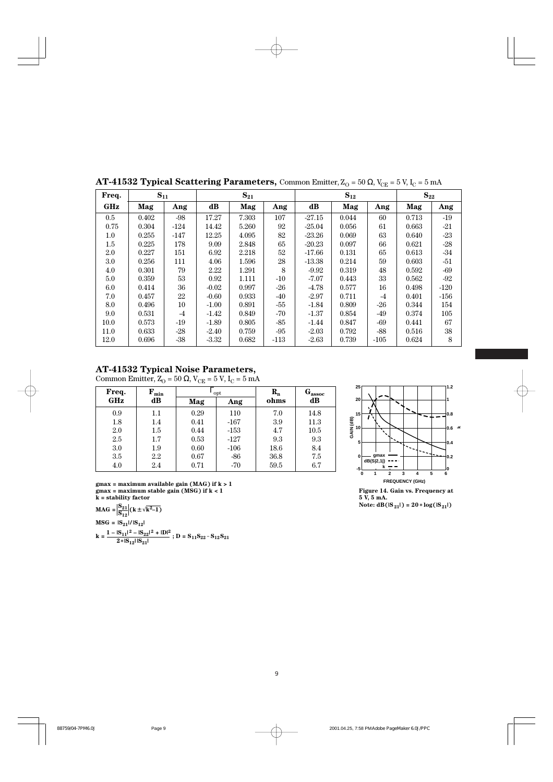|                   |         | ັ.       |        | ັ        |       |        |          | $\cup$ | ∪∟     | $\sim$ $\sim$ |        |
|-------------------|---------|----------|--------|----------|-------|--------|----------|--------|--------|---------------|--------|
| $S_{11}$<br>Freq. |         | $S_{21}$ |        | $S_{12}$ |       |        | $S_{22}$ |        |        |               |        |
|                   | GHz     | Mag      | Ang    | $\bf dB$ | Mag   | Ang    | $\bf dB$ | Mag    | Ang    | Mag           | Ang    |
|                   | $0.5\,$ | 0.402    | $-98$  | 17.27    | 7.303 | 107    | $-27.15$ | 0.044  | 60     | 0.713         | $-19$  |
|                   | 0.75    | 0.304    | $-124$ | 14.42    | 5.260 | 92     | $-25.04$ | 0.056  | 61     | 0.663         | $-21$  |
|                   | $1.0\,$ | 0.255    | $-147$ | 12.25    | 4.095 | 82     | $-23.26$ | 0.069  | 63     | 0.640         | $-23$  |
|                   | 1.5     | 0.225    | 178    | 9.09     | 2.848 | 65     | $-20.23$ | 0.097  | 66     | 0.621         | $-28$  |
|                   | 2.0     | 0.227    | 151    | 6.92     | 2.218 | 52     | $-17.66$ | 0.131  | 65     | 0.613         | $-34$  |
|                   | $3.0\,$ | 0.256    | 111    | 4.06     | 1.596 | 28     | $-13.38$ | 0.214  | 59     | 0.603         | $-51$  |
|                   | 4.0     | 0.301    | 79     | 2.22     | 1.291 | 8      | $-9.92$  | 0.319  | 48     | 0.592         | -69    |
|                   | 5.0     | 0.359    | 53     | 0.92     | 1.111 | $-10$  | $-7.07$  | 0.443  | 33     | 0.562         | -92    |
|                   | 6.0     | 0.414    | 36     | $-0.02$  | 0.997 | $-26$  | $-4.78$  | 0.577  | 16     | 0.498         | $-120$ |
|                   | 7.0     | 0.457    | 22     | $-0.60$  | 0.933 | -40    | $-2.97$  | 0.711  | $-4$   | 0.401         | $-156$ |
|                   | 8.0     | 0.496    | 10     | $-1.00$  | 0.891 | $-55$  | $-1.84$  | 0.809  | $-26$  | 0.344         | 154    |
|                   | 9.0     | 0.531    | $-4$   | $-1.42$  | 0.849 | $-70$  | $-1.37$  | 0.854  | -49    | 0.374         | 105    |
|                   | 10.0    | 0.573    | -19    | $-1.89$  | 0.805 | -85    | $-1.44$  | 0.847  | $-69$  | 0.441         | 67     |
|                   | 11.0    | 0.633    | $-28$  | $-2.40$  | 0.759 | $-95$  | $-2.03$  | 0.792  | $-88$  | 0.516         | 38     |
|                   | 12.0    | 0.696    | $-38$  | $-3.32$  | 0.682 | $-113$ | $-2.63$  | 0.739  | $-105$ | 0.624         | 8      |
|                   |         |          |        |          |       |        |          |        |        |               |        |

**AT-41532 Typical Scattering Parameters, Common Emitter,**  $Z_{\Omega} = 50 \Omega$ **,**  $V_{\text{CE}} = 5 V$ **,**  $I_{\text{C}} = 5 \text{ mA}$ 

Common Emitter,  $Z_{\rm O}$  = 50  $\Omega$ , V<sub>CE</sub> = 5 V, I<sub>C</sub> = 5 mA

| Freq.   | ${\bf F}_{\rm min}$ |      | opt    | $\mathbf{R}_{\mathbf{n}}$ | $\mathbf{G}_{\mathrm{assoc}}$ |  |
|---------|---------------------|------|--------|---------------------------|-------------------------------|--|
| GHz     | dB                  | Mag  | Ang    | ohms                      | dB                            |  |
| 0.9     | 1.1                 | 0.29 | 110    | 7.0                       | 14.8                          |  |
| 1.8     | 1.4                 | 0.41 | $-167$ | 3.9                       | 11.3                          |  |
| 2.0     | 1.5                 | 0.44 | $-153$ | 4.7                       | 10.5                          |  |
| $2.5\,$ | 1.7                 | 0.53 | $-127$ | 9.3                       | 9.3                           |  |
| 3.0     | 1.9                 | 0.60 | $-106$ | 18.6                      | 8.4                           |  |
| 3.5     | 2.2                 | 0.67 | $-86$  | 36.8                      | 7.5                           |  |
| 4.0     | 2.4                 | 0.71 | $-70$  | 59.5                      | 6.7                           |  |

**FREQUENCY (GHz) gmax = maximum available gain (MAG) if k > 1 gmax = maximum stable gain (MSG) if k < 1 k = stability factor**

**MAG** =  $\frac{|S_{21}|}{|S_{12}|} (k \pm \sqrt{k^2-1})$ 

 $\text{MSG} = |\text{S}_{21}| / |\text{S}_{12}|$ 

**k** =  $\frac{1 - |S_{11}|^2 - |S_{22}|^2 + |D|^2}{2 * |S_{12}| |S_{21}|}$ ; D =  $S_{11}S_{22} - S_{12}S_{21}$ 



**Figure 14. Gain vs. Frequency at 5 V, 5 mA.**  $Note: dB(S_{21}|) = 20 * log(S_{21}|)$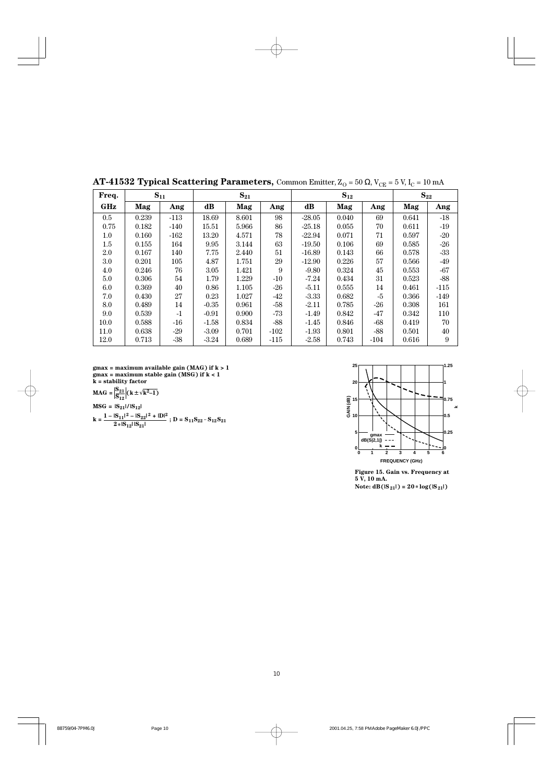|         | ັ.    |          | ັ       |          |        |          | $\cup$   | ∪∟    | $\sim$   |        |
|---------|-------|----------|---------|----------|--------|----------|----------|-------|----------|--------|
| Freq.   |       | $S_{11}$ |         | $S_{21}$ |        |          | $S_{12}$ |       | $S_{22}$ |        |
| GHz     | Mag   | Ang      | dB      | Mag      | Ang    | dB       | Mag      | Ang   | Mag      | Ang    |
| $0.5\,$ | 0.239 | $-113$   | 18.69   | 8.601    | 98     | $-28.05$ | 0.040    | 69    | 0.641    | $-18$  |
| 0.75    | 0.182 | $-140$   | 15.51   | 5.966    | 86     | $-25.18$ | 0.055    | 70    | 0.611    | $-19$  |
| $1.0\,$ | 0.160 | $-162$   | 13.20   | 4.571    | 78     | $-22.94$ | 0.071    | 71    | 0.597    | $-20$  |
| 1.5     | 0.155 | 164      | 9.95    | 3.144    | 63     | $-19.50$ | 0.106    | 69    | 0.585    | -26    |
| $2.0\,$ | 0.167 | 140      | 7.75    | 2.440    | 51     | $-16.89$ | 0.143    | 66    | 0.578    | -33    |
| 3.0     | 0.201 | 105      | 4.87    | 1.751    | 29     | $-12.90$ | 0.226    | 57    | 0.566    | $-49$  |
| 4.0     | 0.246 | 76       | 3.05    | 1.421    | 9      | $-9.80$  | 0.324    | 45    | 0.553    | -67    |
| 5.0     | 0.306 | 54       | 1.79    | 1.229    | $-10$  | $-7.24$  | 0.434    | 31    | 0.523    | $-88$  |
| 6.0     | 0.369 | 40       | 0.86    | 1.105    | -26    | $-5.11$  | 0.555    | 14    | 0.461    | $-115$ |
| 7.0     | 0.430 | 27       | 0.23    | 1.027    | -42    | $-3.33$  | 0.682    | $-5$  | 0.366    | $-149$ |
| 8.0     | 0.489 | 14       | $-0.35$ | 0.961    | -58    | $-2.11$  | 0.785    | $-26$ | 0.308    | 161    |
| 9.0     | 0.539 | $-1$     | $-0.91$ | 0.900    | -73    | $-1.49$  | 0.842    | $-47$ | 0.342    | 110    |
| 10.0    | 0.588 | $-16$    | $-1.58$ | 0.834    | -88    | $-1.45$  | 0.846    | $-68$ | 0.419    | 70     |
| 11.0    | 0.638 | $-29$    | $-3.09$ | 0.701    | $-102$ | $-1.93$  | 0.801    | $-88$ | 0.501    | 40     |
| 12.0    | 0.713 | $-38$    | $-3.24$ | 0.689    | $-115$ | $-2.58$  | 0.743    | -104  | 0.616    | 9      |

**AT-41532 Typical Scattering Parameters, Common Emitter,**  $Z_{\text{O}} = 50 \Omega$ **,**  $V_{\text{CE}} = 5 V$ **,**  $I_{\text{C}} = 10 \text{ mA}$ 

**gmax = maximum available gain (MAG) if k > 1 gmax = maximum stable gain (MSG) if k < 1 k = stability factor**

$$
MAG = \left| \frac{S_{21}}{S_{12}} \right| \left( k \pm \sqrt{k^2 - 1} \right)
$$
  
\n
$$
MSG = |S_{21}| / |S_{12}|
$$
  
\n
$$
k = \frac{1 - |S_{11}|^2 - |S_{22}|^2 + |D|^2}{2 \cdot |S_{12}| |S_{21}|}; D = S_{11} S_{22} - S_{12} S_{21}
$$



**Figure 15. Gain vs. Frequency at 5 V, 10 mA.**  $Note: dB(S_{21}|) = 20 * log(S_{21}|)$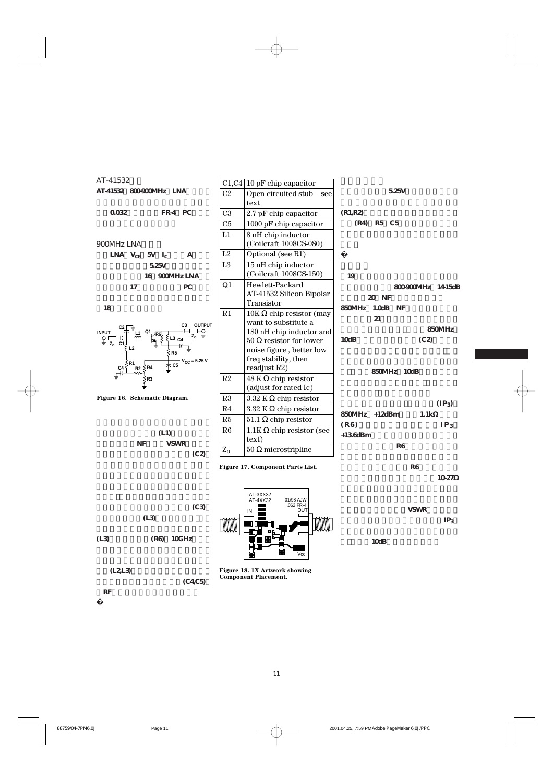

**れRFグランドがとられています。**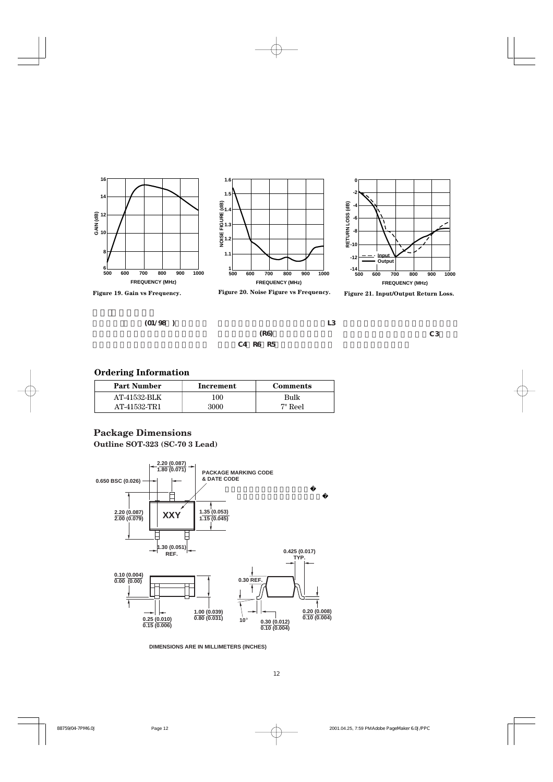





**0**

**-2**



 $(01/98)$ 

**コレクタ・リードに接続されているL3**

**に並列に抵抗(R6)を加えることです。** C4 R6 R5 **タのコレクタ・リードからC3までパ**

#### **Ordering Information**

| <b>Part Number</b> | Increment | Comments |
|--------------------|-----------|----------|
| AT-41532-BLK       | 100       | Bulk     |
| AT-41532-TR1       | 3000      | 7" Reel  |

#### **Outline SOT-323 (SC-70 3 Lead) Package Dimensions**



**DIMENSIONS ARE IN MILLIMETERS (INCHES)**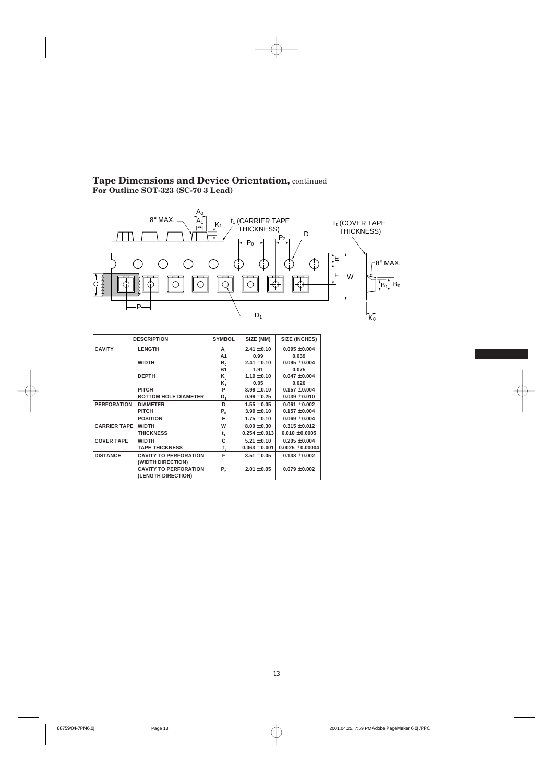#### **Tape Dimensions and Device Orientation,** continued **For Outline SOT-323 (SC-70 3 Lead)**



|                                                 | <b>DESCRIPTION</b>           | <b>SYMBOL</b>           | SIZE (MM)         | SIZE (INCHES)        |
|-------------------------------------------------|------------------------------|-------------------------|-------------------|----------------------|
| <b>CAVITY</b>                                   | <b>LENGTH</b>                | $A_0$                   | $2.41 \pm 0.10$   | $0.095 \pm 0.004$    |
|                                                 |                              | A1                      | 0.99              | 0.039                |
|                                                 | <b>WIDTH</b>                 | $B_{0}$                 | $2.41 \pm 0.10$   | $0.095 \pm 0.004$    |
|                                                 |                              | <b>B1</b>               | 1.91              | 0.075                |
|                                                 | <b>DEPTH</b>                 | $K_{0}$                 | $1.19 \pm 0.10$   | $0.047 \pm 0.004$    |
|                                                 |                              | $K_{1}$                 | 0.05              | 0.020                |
|                                                 | <b>PITCH</b>                 | P                       | $3.99 \pm 0.10$   | $0.157 \pm 0.004$    |
|                                                 | <b>BOTTOM HOLE DIAMETER</b>  | D,                      | $0.99 \pm 0.25$   | $0.039 \pm 0.010$    |
| <b>PERFORATION</b>                              | <b>DIAMETER</b>              |                         | $1.55 \pm 0.05$   | $0.061 \pm 0.002$    |
|                                                 | <b>PITCH</b>                 | $\mathsf{P}_\mathsf{0}$ | $3.99 \pm 0.10$   | $0.157 \pm 0.004$    |
|                                                 | <b>POSITION</b>              | E                       | $1.75 \pm 0.10$   | $0.069 \pm 0.004$    |
| <b>CARRIER TAPE</b>                             | <b>WIDTH</b>                 |                         | $8.00 \pm 0.30$   | $0.315 \pm 0.012$    |
|                                                 | <b>THICKNESS</b>             | t,                      | $0.254 \pm 0.013$ | $0.010 \pm 0.0005$   |
| <b>COVER TAPE</b>                               | <b>WIDTH</b>                 | C                       | $5.21 \pm 0.10$   | $0.205 \pm 0.004$    |
|                                                 | <b>TAPE THICKNESS</b>        | T,                      | $0.063 \pm 0.001$ | $0.0025 \pm 0.00004$ |
| <b>DISTANCE</b><br><b>CAVITY TO PERFORATION</b> |                              | F                       | $3.51 \pm 0.05$   | $0.138 \pm 0.002$    |
|                                                 | (WIDTH DIRECTION)            |                         |                   |                      |
|                                                 | <b>CAVITY TO PERFORATION</b> | P <sub>2</sub>          | $2.01 \pm 0.05$   | $0.079 \pm 0.002$    |
|                                                 | (LENGTH DIRECTION)           |                         |                   |                      |